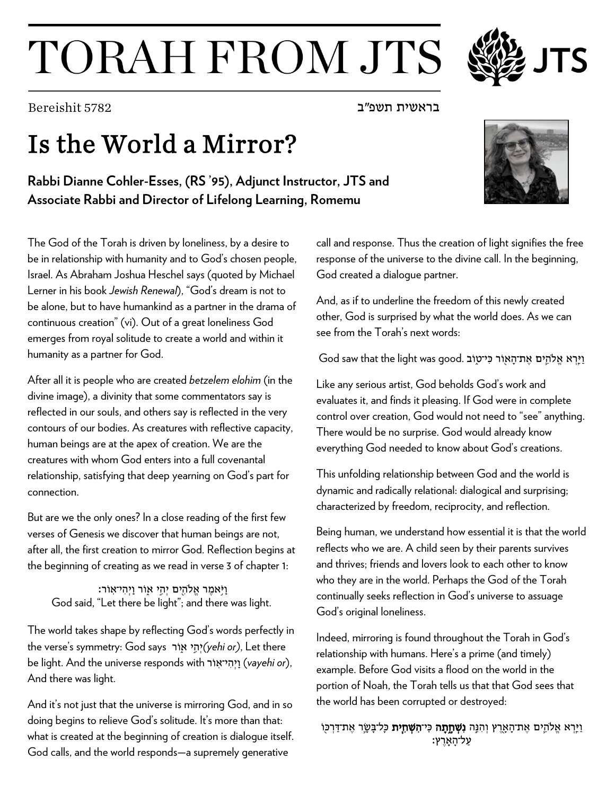## TORAH FROM JTS

בראשית תשפ"ב  $\sim$ "בראשית תשפ"ב  $\sim$ "ב

## Is the World a Mirror?

**Rabbi Dianne Cohler-Esses, (RS '95), Adjunct Instructor, JTS and Associate Rabbi and Director of Lifelong Learning, Romemu**

The God of the Torah is driven by loneliness, by a desire to be in relationship with humanity and to God's chosen people, Israel. As Abraham Joshua Heschel says (quoted by Michael Lerner in his book *Jewish Renewal*), "God's dream is not to be alone, but to have humankind as a partner in the drama of continuous creation" (vi). Out of a great loneliness God emerges from royal solitude to create a world and within it humanity as a partner for God.

After all it is people who are created *betzelem elohim* (in the divine image), a divinity that some commentators say is reflected in our souls, and others say is reflected in the very contours of our bodies. As creatures with reflective capacity, human beings are at the apex of creation. We are the creatures with whom God enters into a full covenantal relationship, satisfying that deep yearning on God's part for connection.

But are we the only ones? In a close reading of the first few verses of Genesis we discover that human beings are not, after all, the first creation to mirror God. Reflection begins at the beginning of creating as we read in verse 3 of chapter 1:

וַֽ יֹּ֥אמֶ ר אֱ�הִ ֖ים יְהִ ֣י א֑וֹר וַֽ יְהִ י־אֽ וֹר׃ God said, "Let there be light"; and there was light.

The world takes shape by reflecting God's words perfectly in the verse's symmetry: God says רֹו֑א י֣ ִהְי*)yehi or)*, Let there be light. And the universe responds with רֹו ֽי־א ִהְי ַֽו) *vayehi or*), And there was light.

And it's not just that the universe is mirroring God, and in so doing begins to relieve God's solitude. It's more than that: what is created at the beginning of creation is dialogue itself. God calls, and the world responds—a supremely generative

call and response. Thus the creation of light signifies the free response of the universe to the divine call. In the beginning, God created a dialogue partner.

And, as if to underline the freedom of this newly created other, God is surprised by what the world does. As we can see from the Torah's next words:

וַיָּרְא אֱלֹהֶים אֶת־הָאוֹר כִּי־טַוֹב .God saw that the light was good

Like any serious artist, God beholds God's work and evaluates it, and finds it pleasing. If God were in complete control over creation, God would not need to "see" anything. There would be no surprise. God would already know everything God needed to know about God's creations.

This unfolding relationship between God and the world is dynamic and radically relational: dialogical and surprising; characterized by freedom, reciprocity, and reflection.

Being human, we understand how essential it is that the world reflects who we are. A child seen by their parents survives and thrives; friends and lovers look to each other to know who they are in the world. Perhaps the God of the Torah continually seeks reflection in God's universe to assuage God's original loneliness.

Indeed, mirroring is found throughout the Torah in God's relationship with humans. Here's a prime (and timely) example. Before God visits a flood on the world in the portion of Noah, the Torah tells us that that God sees that the world has been corrupted or destroyed:

וַיָּרְא אֱלֹהֶים אֶת־הָאֶרֶץ וְהִנָּה **נִשְׁחֵתָה** כִּי**־הִשְׁחִית** כִּל־בָּשֶׂר אֶת־דַּרְכּוֹ ַ עַל־הָאָרֵץ